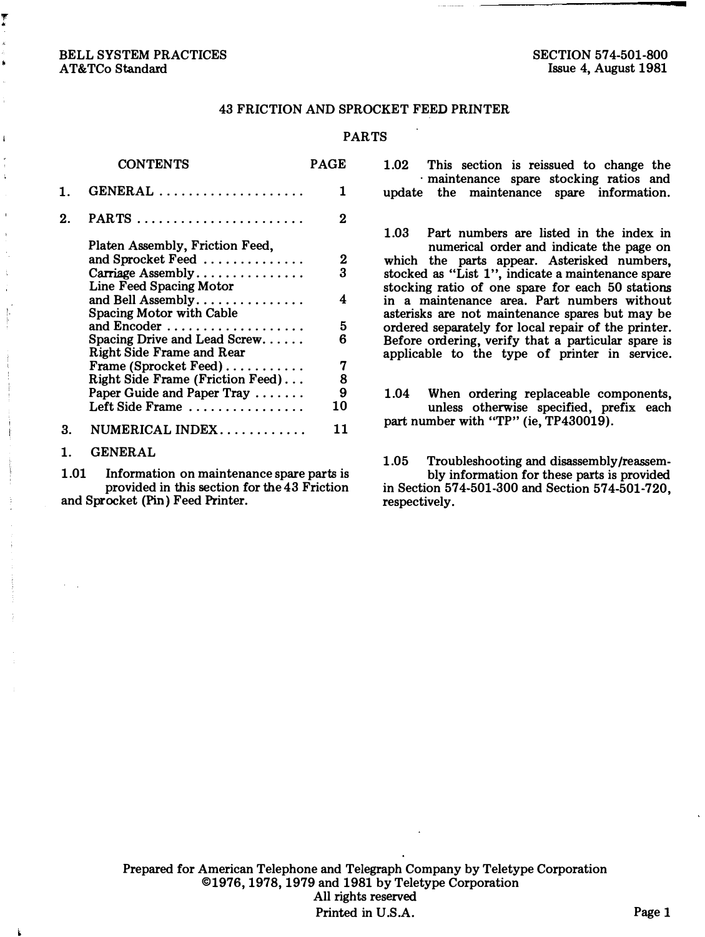## 43 FRICTION AND SPROCKET FEED PRINTER

#### PARTS

|    | <b>CONTENTS</b>                                                                                                                                                                                                                                                                                                                                                 | PAGE                                       |
|----|-----------------------------------------------------------------------------------------------------------------------------------------------------------------------------------------------------------------------------------------------------------------------------------------------------------------------------------------------------------------|--------------------------------------------|
| 1. | $GENERAL$                                                                                                                                                                                                                                                                                                                                                       | 1                                          |
| 2. | PARTS                                                                                                                                                                                                                                                                                                                                                           | 2                                          |
|    | Platen Assembly, Friction Feed,<br>and Sprocket Feed<br>Carriage Assembly<br>Line Feed Spacing Motor<br>and Bell Assembly<br>Spacing Motor with Cable<br>and Encoder<br>Spacing Drive and Lead Screw<br>Right Side Frame and Rear<br>Frame (Sprocket Feed)<br>Right Side Frame (Friction Feed)<br>Paper Guide and Paper Tray $\ldots \ldots$<br>Left Side Frame | 2<br>3<br>4<br>5<br>6<br>7<br>8<br>9<br>10 |
| 3. | $NUMERICAL INDEX$                                                                                                                                                                                                                                                                                                                                               | 11                                         |
|    | <b>GENERAL</b>                                                                                                                                                                                                                                                                                                                                                  |                                            |

1.01 Information on maintenance spare parts is provided in this section for the 43 Friction and Sprocket (Pin) Feed Printer.

1.02 This section is reissued to change the · maintenance spare stocking ratios and update the maintenance spare information.

1.03 Part numbers are listed in the index in numerical order and indicate the page on which the parts appear. Asterisked numbers, stocked as "List 1", indicate a maintenance spare stocking ratio of one spare for each 50 stations in a maintenance area. Part numbers without asterisks are not maintenance spares but may be ordered separately for local repair of the printer. Before ordering, verify that a particular spare is applicable to the type of printer in service.

1.04 When ordering replaceable components, unless otherwise specified, prefix each part number with "TP" (ie, TP430019).

1.05 Troubleshooting and disassembly/reassembly information for these parts is provided in Section 574-501-300 and Section 574-501-720, respectively.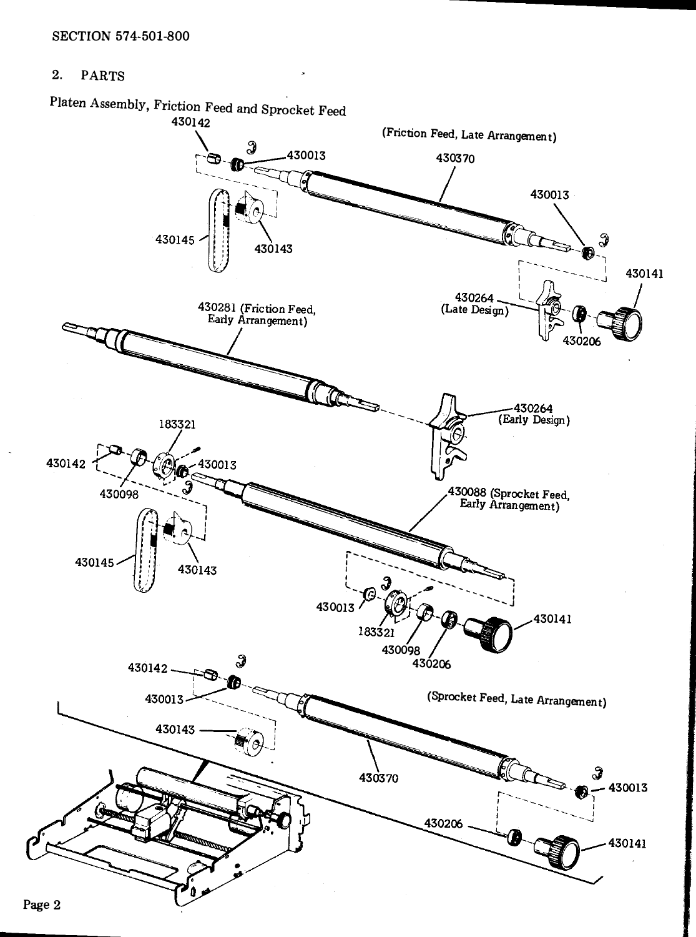#### $2.$ **PARTS**

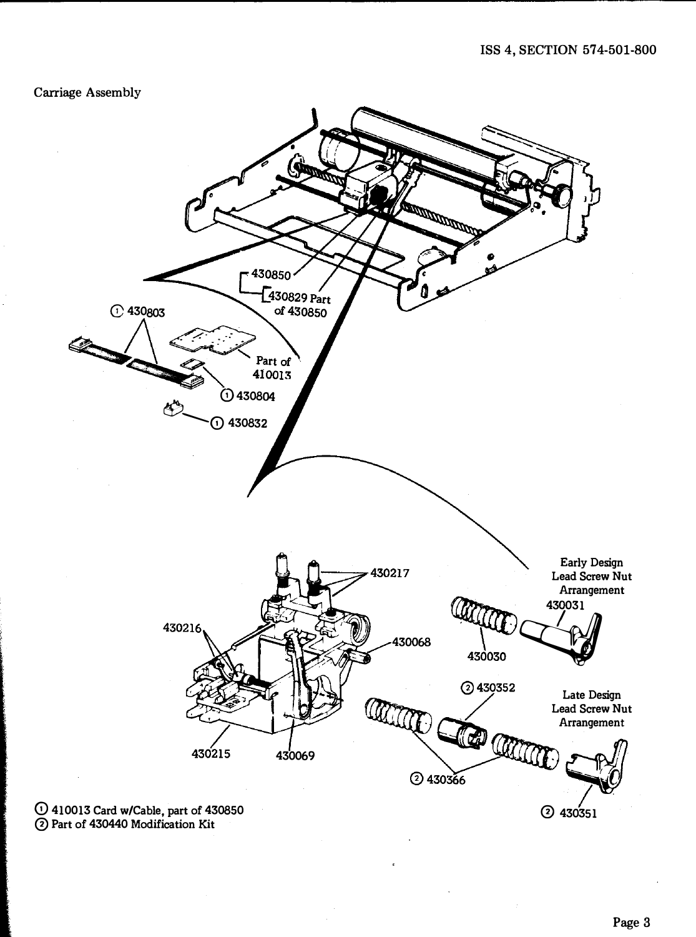Carriage Assembly



0 Part of 430440 Modification Kit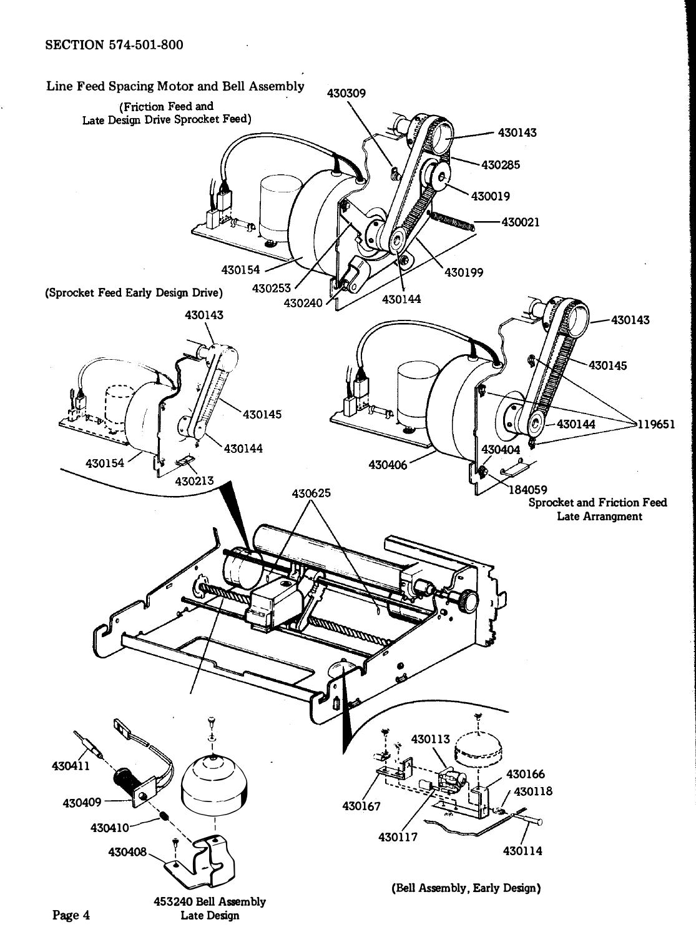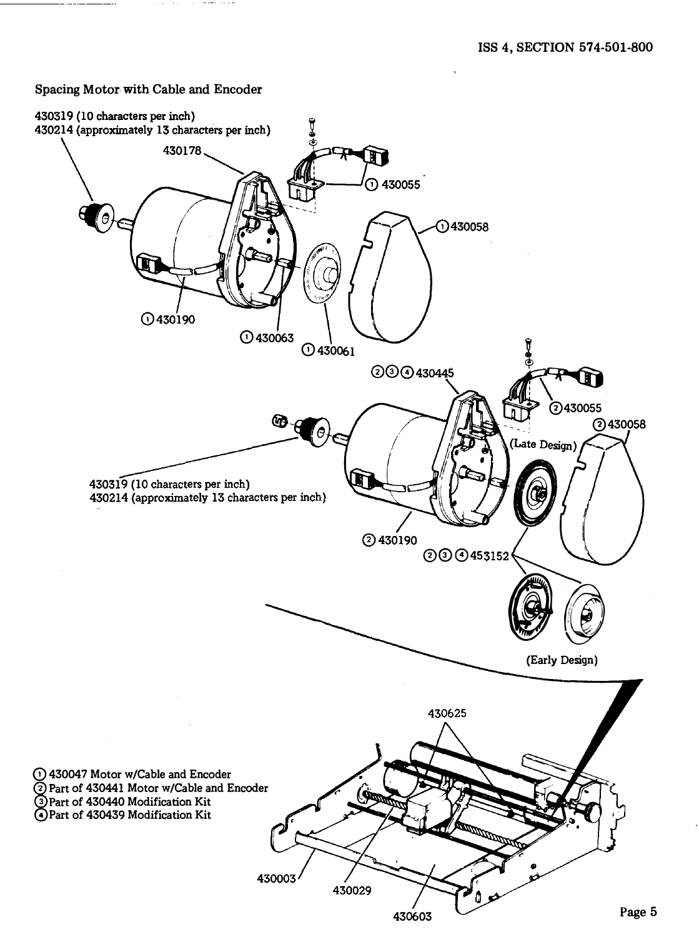### Spacing Motor with Cable and Encoder

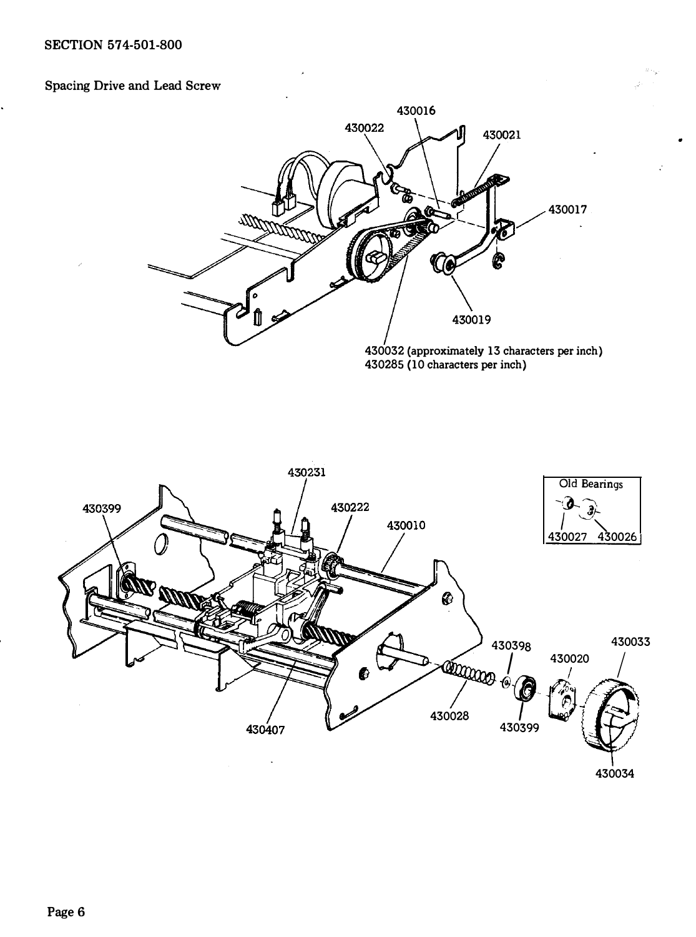# Spacing Drive and Lead Screw



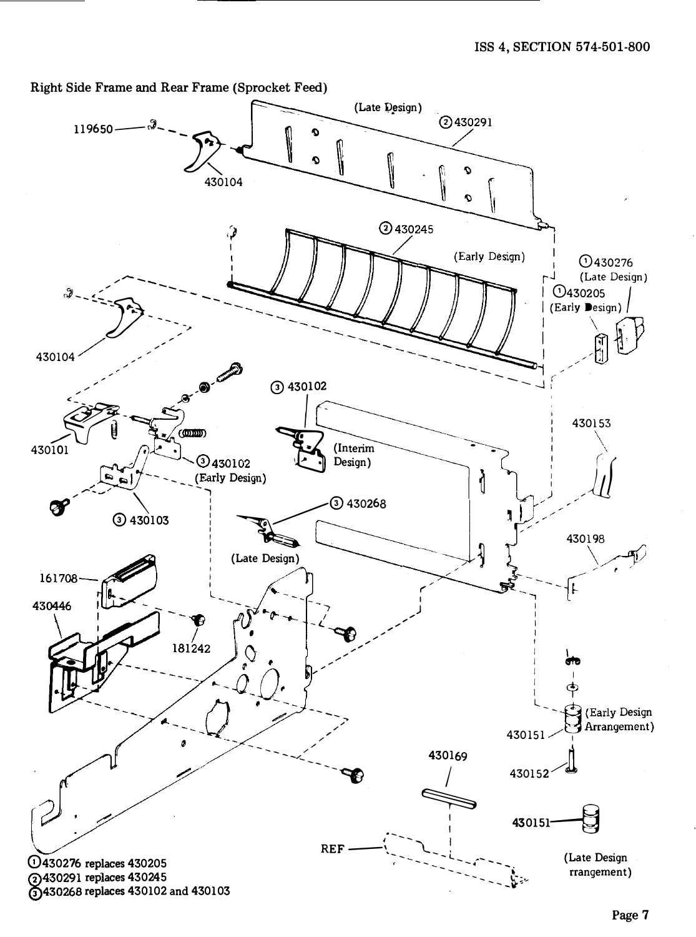Right Side Frame and Rear Frame (Sprocket Feed)

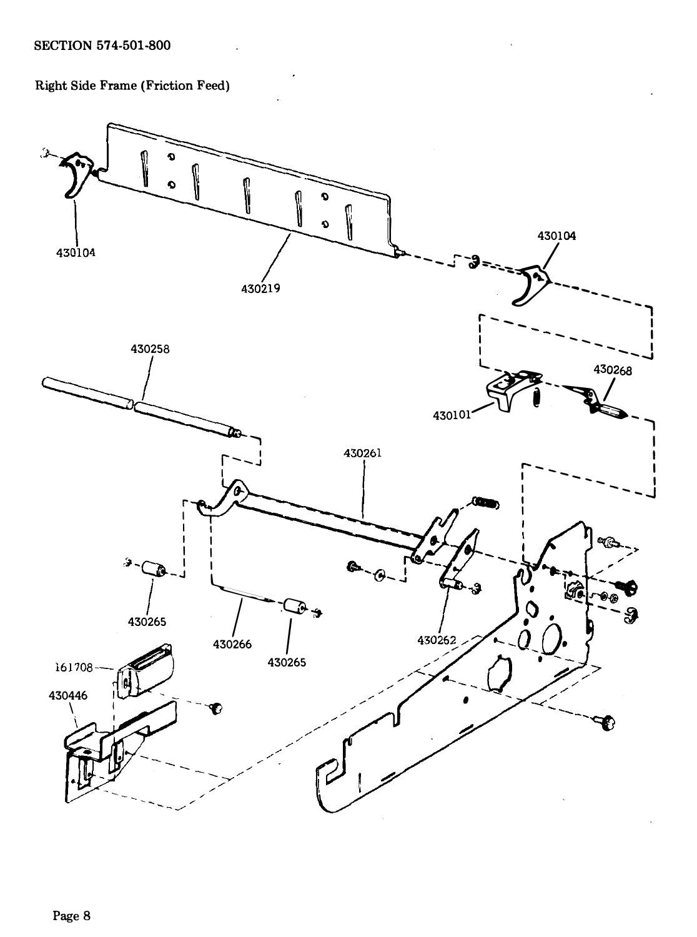Right Side Frame (Friction Feed)

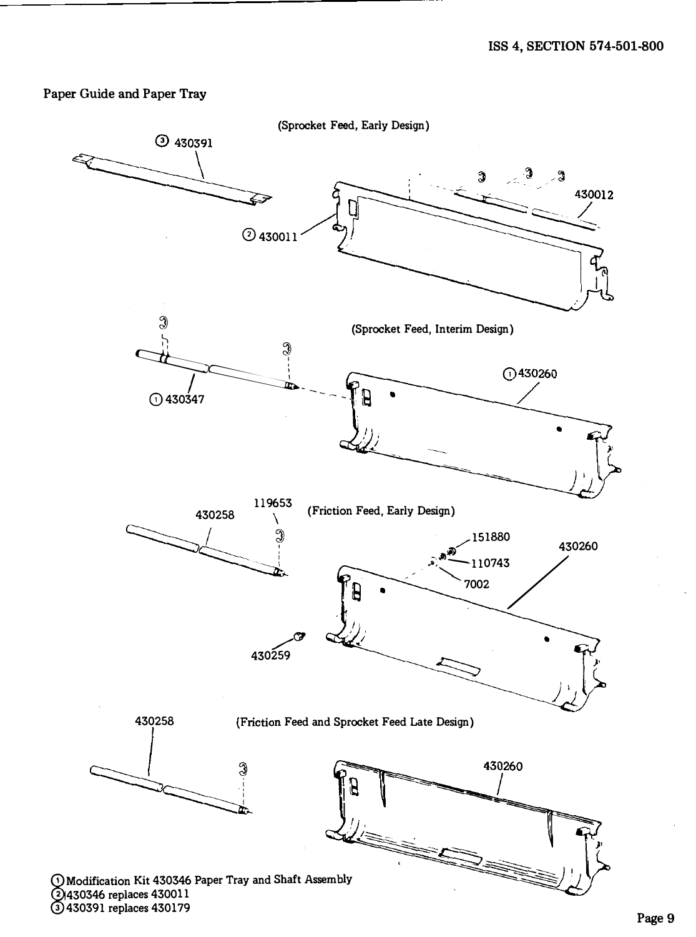## Paper Guide and Paper Tray

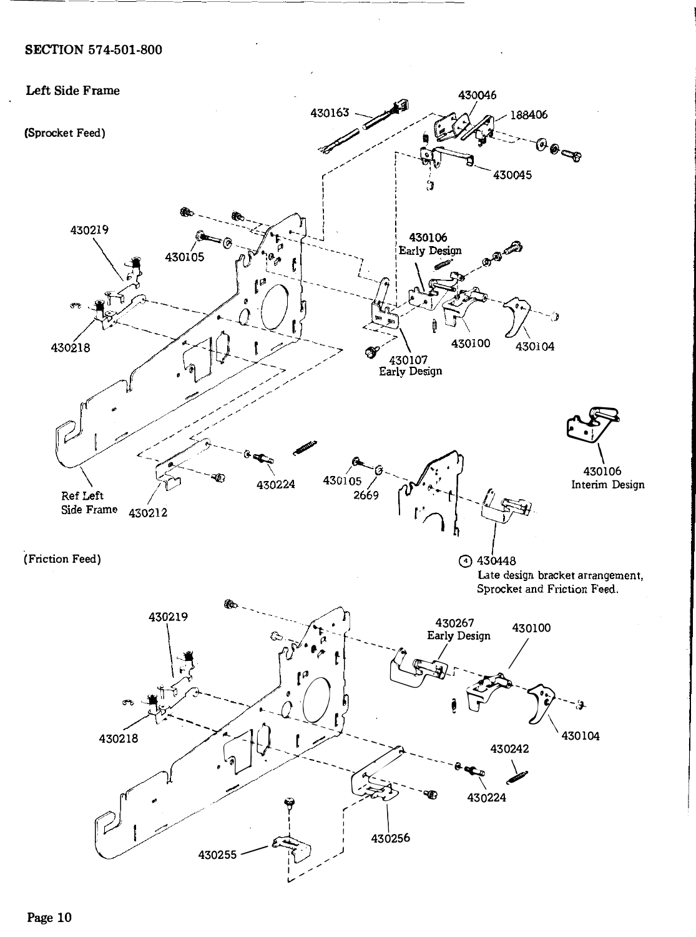# SECTION 574-501-800